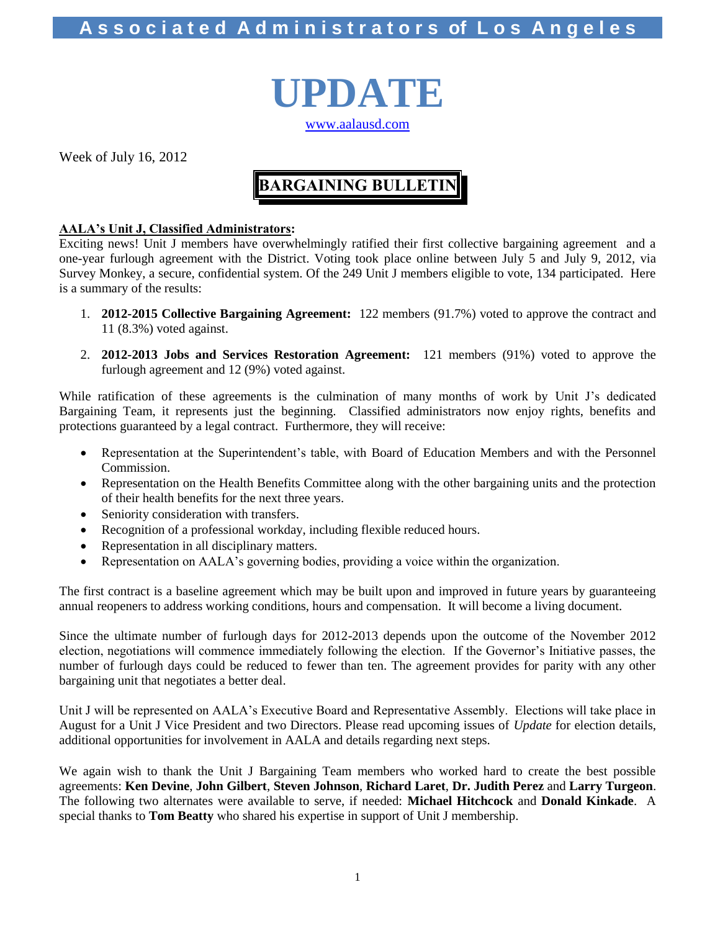# **A s s o c i a t e d A d m i n i s t r a t o r s of L o s A n g e l e s**



Week of July 16, 2012

# **BARGAINING BULLETIN**

### **AALA's Unit J, Classified Administrators:**

Exciting news! Unit J members have overwhelmingly ratified their first collective bargaining agreement and a one-year furlough agreement with the District. Voting took place online between July 5 and July 9, 2012, via Survey Monkey, a secure, confidential system. Of the 249 Unit J members eligible to vote, 134 participated. Here is a summary of the results:

- 1. **2012-2015 Collective Bargaining Agreement:** 122 members (91.7%) voted to approve the contract and 11 (8.3%) voted against.
- 2. **2012-2013 Jobs and Services Restoration Agreement:** 121 members (91%) voted to approve the furlough agreement and 12 (9%) voted against.

While ratification of these agreements is the culmination of many months of work by Unit J's dedicated Bargaining Team, it represents just the beginning. Classified administrators now enjoy rights, benefits and protections guaranteed by a legal contract. Furthermore, they will receive:

- Representation at the Superintendent's table, with Board of Education Members and with the Personnel Commission.
- Representation on the Health Benefits Committee along with the other bargaining units and the protection of their health benefits for the next three years.
- Seniority consideration with transfers.
- Recognition of a professional workday, including flexible reduced hours.
- Representation in all disciplinary matters.
- Representation on AALA's governing bodies, providing a voice within the organization.

The first contract is a baseline agreement which may be built upon and improved in future years by guaranteeing annual reopeners to address working conditions, hours and compensation. It will become a living document.

Since the ultimate number of furlough days for 2012-2013 depends upon the outcome of the November 2012 election, negotiations will commence immediately following the election. If the Governor's Initiative passes, the number of furlough days could be reduced to fewer than ten. The agreement provides for parity with any other bargaining unit that negotiates a better deal.

Unit J will be represented on AALA's Executive Board and Representative Assembly. Elections will take place in August for a Unit J Vice President and two Directors. Please read upcoming issues of *Update* for election details, additional opportunities for involvement in AALA and details regarding next steps.

We again wish to thank the Unit J Bargaining Team members who worked hard to create the best possible agreements: **Ken Devine**, **John Gilbert**, **Steven Johnson**, **Richard Laret**, **Dr. Judith Perez** and **Larry Turgeon**. The following two alternates were available to serve, if needed: **Michael Hitchcock** and **Donald Kinkade**. A special thanks to **Tom Beatty** who shared his expertise in support of Unit J membership.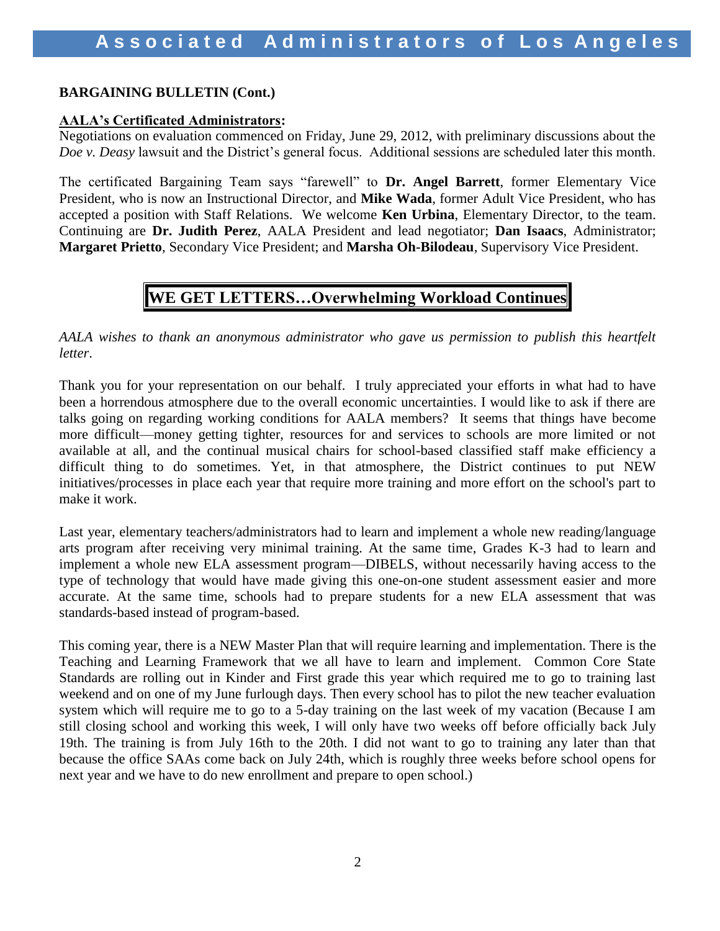### **BARGAINING BULLETIN (Cont.)**

### **AALA's Certificated Administrators:**

Negotiations on evaluation commenced on Friday, June 29, 2012, with preliminary discussions about the *Doe v. Deasy* lawsuit and the District's general focus. Additional sessions are scheduled later this month.

The certificated Bargaining Team says "farewell" to **Dr. Angel Barrett**, former Elementary Vice President, who is now an Instructional Director, and **Mike Wada**, former Adult Vice President, who has accepted a position with Staff Relations. We welcome **Ken Urbina**, Elementary Director, to the team. Continuing are **Dr. Judith Perez**, AALA President and lead negotiator; **Dan Isaacs**, Administrator; **Margaret Prietto**, Secondary Vice President; and **Marsha Oh-Bilodeau**, Supervisory Vice President.

### **WE GET LETTERS…Overwhelming Workload Continues**

*AALA wishes to thank an anonymous administrator who gave us permission to publish this heartfelt letter*.

Thank you for your representation on our behalf. I truly appreciated your efforts in what had to have been a horrendous atmosphere due to the overall economic uncertainties. I would like to ask if there are talks going on regarding working conditions for AALA members? It seems that things have become more difficult—money getting tighter, resources for and services to schools are more limited or not available at all, and the continual musical chairs for school-based classified staff make efficiency a difficult thing to do sometimes. Yet, in that atmosphere, the District continues to put NEW initiatives/processes in place each year that require more training and more effort on the school's part to make it work.

Last year, elementary teachers/administrators had to learn and implement a whole new reading/language arts program after receiving very minimal training. At the same time, Grades K-3 had to learn and implement a whole new ELA assessment program—DIBELS, without necessarily having access to the type of technology that would have made giving this one-on-one student assessment easier and more accurate. At the same time, schools had to prepare students for a new ELA assessment that was standards-based instead of program-based.

This coming year, there is a NEW Master Plan that will require learning and implementation. There is the Teaching and Learning Framework that we all have to learn and implement. Common Core State Standards are rolling out in Kinder and First grade this year which required me to go to training last weekend and on one of my June furlough days. Then every school has to pilot the new teacher evaluation system which will require me to go to a 5-day training on the last week of my vacation (Because I am still closing school and working this week, I will only have two weeks off before officially back July 19th. The training is from July 16th to the 20th. I did not want to go to training any later than that because the office SAAs come back on July 24th, which is roughly three weeks before school opens for next year and we have to do new enrollment and prepare to open school.)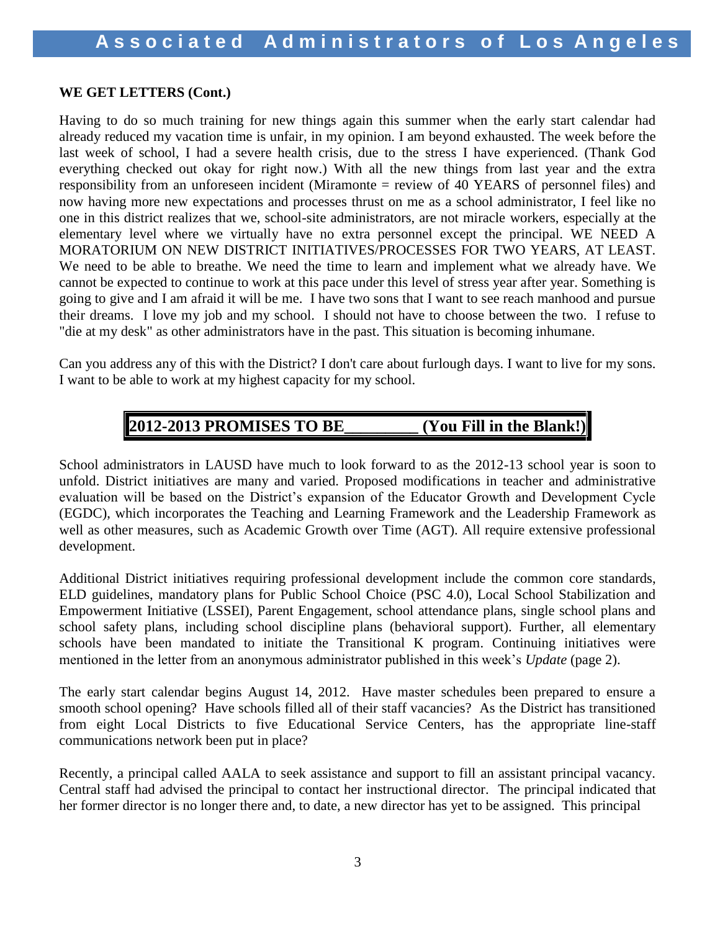### **WE GET LETTERS (Cont.)**

Having to do so much training for new things again this summer when the early start calendar had already reduced my vacation time is unfair, in my opinion. I am beyond exhausted. The week before the last week of school, I had a severe health crisis, due to the stress I have experienced. (Thank God everything checked out okay for right now.) With all the new things from last year and the extra responsibility from an unforeseen incident (Miramonte = review of 40 YEARS of personnel files) and now having more new expectations and processes thrust on me as a school administrator, I feel like no one in this district realizes that we, school-site administrators, are not miracle workers, especially at the elementary level where we virtually have no extra personnel except the principal. WE NEED A MORATORIUM ON NEW DISTRICT INITIATIVES/PROCESSES FOR TWO YEARS, AT LEAST. We need to be able to breathe. We need the time to learn and implement what we already have. We cannot be expected to continue to work at this pace under this level of stress year after year. Something is going to give and I am afraid it will be me. I have two sons that I want to see reach manhood and pursue their dreams. I love my job and my school. I should not have to choose between the two. I refuse to "die at my desk" as other administrators have in the past. This situation is becoming inhumane.

Can you address any of this with the District? I don't care about furlough days. I want to live for my sons. I want to be able to work at my highest capacity for my school.

### **2012-2013 PROMISES TO BE\_\_\_\_\_\_\_\_\_ (You Fill in the Blank!)**

School administrators in LAUSD have much to look forward to as the 2012-13 school year is soon to unfold. District initiatives are many and varied. Proposed modifications in teacher and administrative evaluation will be based on the District's expansion of the Educator Growth and Development Cycle (EGDC), which incorporates the Teaching and Learning Framework and the Leadership Framework as well as other measures, such as Academic Growth over Time (AGT). All require extensive professional development.

Additional District initiatives requiring professional development include the common core standards, ELD guidelines, mandatory plans for Public School Choice (PSC 4.0), Local School Stabilization and Empowerment Initiative (LSSEI), Parent Engagement, school attendance plans, single school plans and school safety plans, including school discipline plans (behavioral support). Further, all elementary schools have been mandated to initiate the Transitional K program. Continuing initiatives were mentioned in the letter from an anonymous administrator published in this week's *Update* (page 2).

The early start calendar begins August 14, 2012. Have master schedules been prepared to ensure a smooth school opening? Have schools filled all of their staff vacancies? As the District has transitioned from eight Local Districts to five Educational Service Centers, has the appropriate line-staff communications network been put in place?

Recently, a principal called AALA to seek assistance and support to fill an assistant principal vacancy. Central staff had advised the principal to contact her instructional director. The principal indicated that her former director is no longer there and, to date, a new director has yet to be assigned. This principal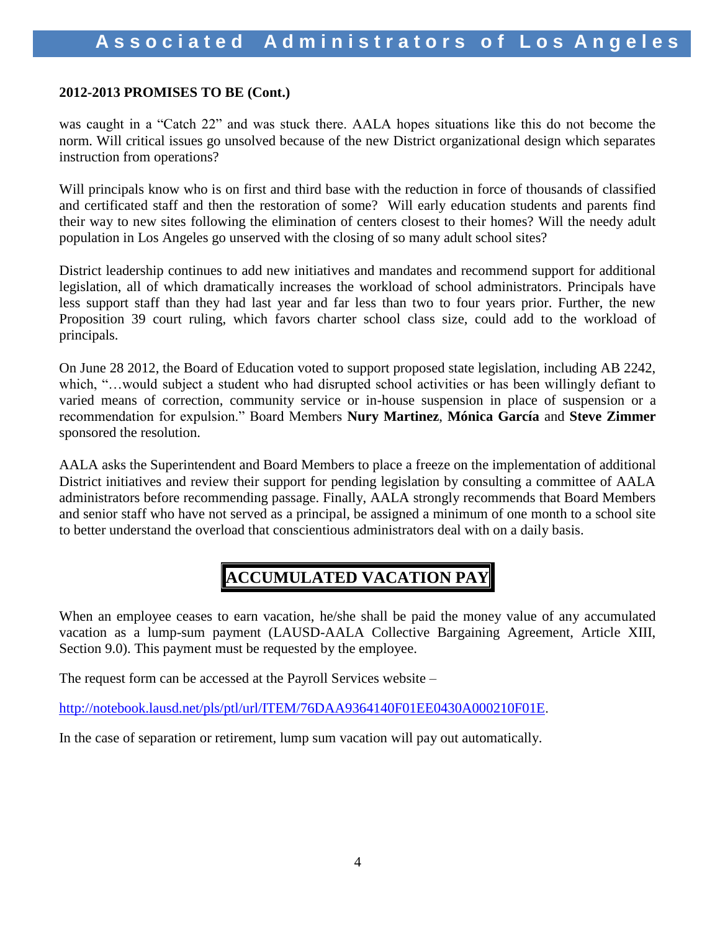### **2012-2013 PROMISES TO BE (Cont.)**

was caught in a "Catch 22" and was stuck there. AALA hopes situations like this do not become the norm. Will critical issues go unsolved because of the new District organizational design which separates instruction from operations?

Will principals know who is on first and third base with the reduction in force of thousands of classified and certificated staff and then the restoration of some? Will early education students and parents find their way to new sites following the elimination of centers closest to their homes? Will the needy adult population in Los Angeles go unserved with the closing of so many adult school sites?

District leadership continues to add new initiatives and mandates and recommend support for additional legislation, all of which dramatically increases the workload of school administrators. Principals have less support staff than they had last year and far less than two to four years prior. Further, the new Proposition 39 court ruling, which favors charter school class size, could add to the workload of principals.

On June 28 2012, the Board of Education voted to support proposed state legislation, including AB 2242, which, "...would subject a student who had disrupted school activities or has been willingly defiant to varied means of correction, community service or in-house suspension in place of suspension or a recommendation for expulsion." Board Members **Nury Martinez**, **Mónica García** and **Steve Zimmer**  sponsored the resolution.

AALA asks the Superintendent and Board Members to place a freeze on the implementation of additional District initiatives and review their support for pending legislation by consulting a committee of AALA administrators before recommending passage. Finally, AALA strongly recommends that Board Members and senior staff who have not served as a principal, be assigned a minimum of one month to a school site to better understand the overload that conscientious administrators deal with on a daily basis.

# **ACCUMULATED VACATION PAY**

When an employee ceases to earn vacation, he/she shall be paid the money value of any accumulated vacation as a lump-sum payment (LAUSD-AALA Collective Bargaining Agreement, Article XIII, Section 9.0). This payment must be requested by the employee.

The request form can be accessed at the Payroll Services website –

<http://notebook.lausd.net/pls/ptl/url/ITEM/76DAA9364140F01EE0430A000210F01E>.

In the case of separation or retirement, lump sum vacation will pay out automatically.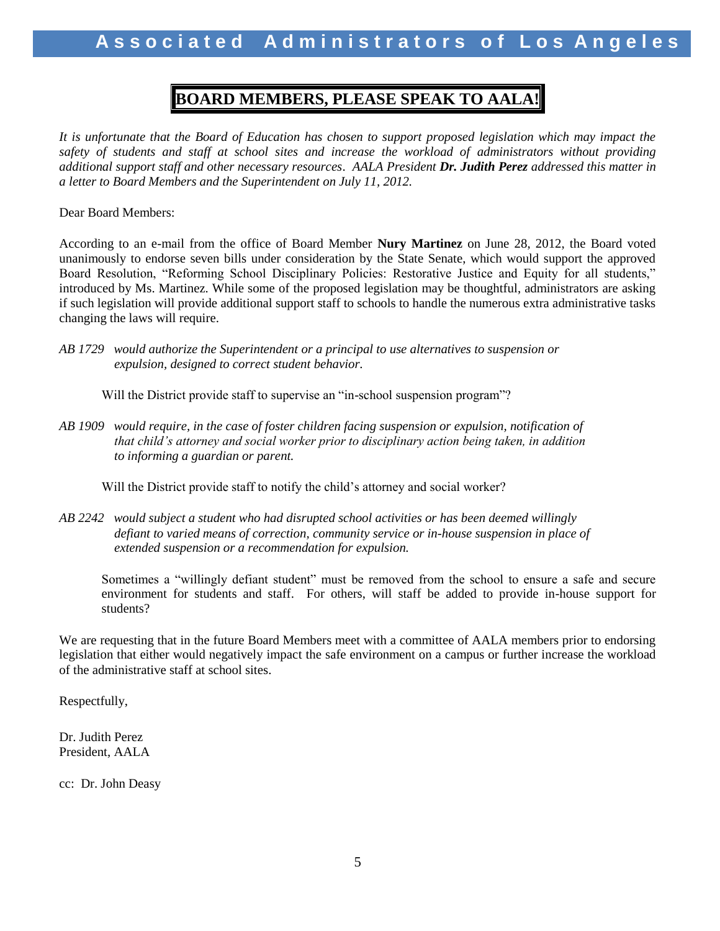### **BOARD MEMBERS, PLEASE SPEAK TO AALA!**

*It is unfortunate that the Board of Education has chosen to support proposed legislation which may impact the safety of students and staff at school sites and increase the workload of administrators without providing additional support staff and other necessary resources*. *AALA President Dr. Judith Perez addressed this matter in a letter to Board Members and the Superintendent on July 11, 2012.*

Dear Board Members:

According to an e-mail from the office of Board Member **Nury Martinez** on June 28, 2012, the Board voted unanimously to endorse seven bills under consideration by the State Senate, which would support the approved Board Resolution, "Reforming School Disciplinary Policies: Restorative Justice and Equity for all students," introduced by Ms. Martinez. While some of the proposed legislation may be thoughtful, administrators are asking if such legislation will provide additional support staff to schools to handle the numerous extra administrative tasks changing the laws will require.

*AB 1729 would authorize the Superintendent or a principal to use alternatives to suspension or expulsion, designed to correct student behavior.*

Will the District provide staff to supervise an "in-school suspension program"?

*AB 1909 would require, in the case of foster children facing suspension or expulsion, notification of that child's attorney and social worker prior to disciplinary action being taken, in addition to informing a guardian or parent.*

Will the District provide staff to notify the child's attorney and social worker?

*AB 2242 would subject a student who had disrupted school activities or has been deemed willingly defiant to varied means of correction, community service or in-house suspension in place of extended suspension or a recommendation for expulsion.*

Sometimes a "willingly defiant student" must be removed from the school to ensure a safe and secure environment for students and staff. For others, will staff be added to provide in-house support for students?

We are requesting that in the future Board Members meet with a committee of AALA members prior to endorsing legislation that either would negatively impact the safe environment on a campus or further increase the workload of the administrative staff at school sites.

Respectfully,

Dr. Judith Perez President, AALA

cc: Dr. John Deasy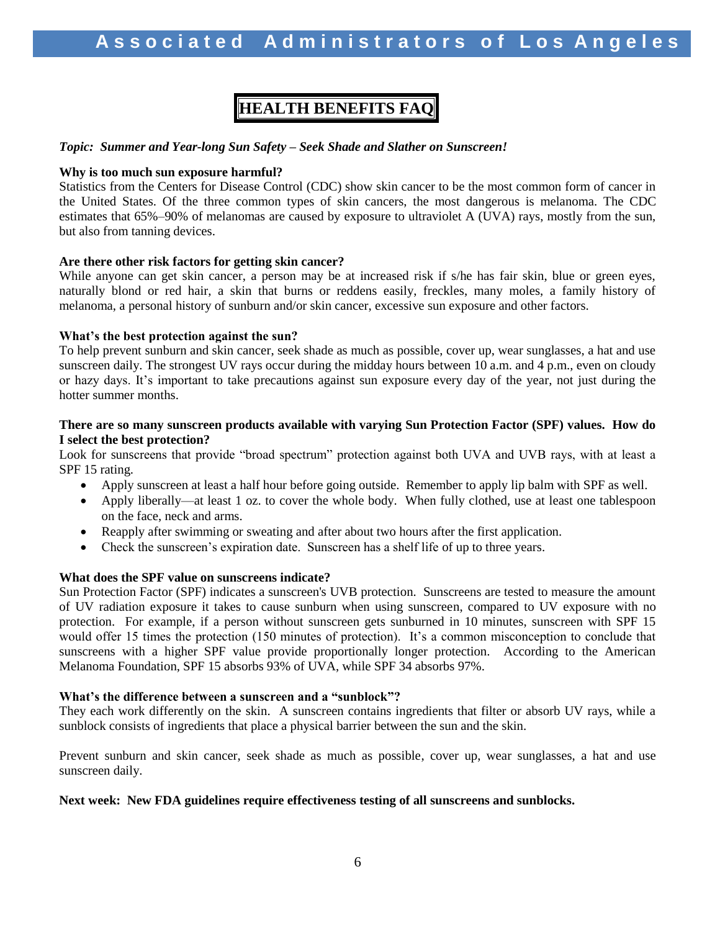# **HEALTH BENEFITS FAQ**

#### *Topic: Summer and Year-long Sun Safety – Seek Shade and Slather on Sunscreen!*

#### **Why is too much sun exposure harmful?**

Statistics from the Centers for Disease Control (CDC) show skin cancer to be the most common form of cancer in the United States. Of the three common types of skin cancers, the most dangerous is melanoma. The CDC estimates that 65%–90% of melanomas are caused by exposure to ultraviolet A (UVA) rays, mostly from the sun, but also from tanning devices.

#### **Are there other risk factors for getting skin cancer?**

While anyone can get skin cancer, a person may be at increased risk if s/he has fair skin, blue or green eyes, naturally blond or red hair, a skin that burns or reddens easily, freckles, many moles, a family history of melanoma, a personal history of sunburn and/or skin cancer, excessive sun exposure and other factors.

#### **What's the best protection against the sun?**

To help prevent sunburn and skin cancer, seek shade as much as possible, cover up, wear sunglasses, a hat and use sunscreen daily. The strongest UV rays occur during the midday hours between 10 a.m. and 4 p.m., even on cloudy or hazy days. It's important to take precautions against sun exposure every day of the year, not just during the hotter summer months.

#### **There are so many sunscreen products available with varying Sun Protection Factor (SPF) values. How do I select the best protection?**

Look for sunscreens that provide "broad spectrum" protection against both UVA and UVB rays, with at least a SPF 15 rating.

- Apply sunscreen at least a half hour before going outside. Remember to apply lip balm with SPF as well.
- Apply liberally—at least 1 oz. to cover the whole body. When fully clothed, use at least one tablespoon on the face, neck and arms.
- Reapply after swimming or sweating and after about two hours after the first application.
- Check the sunscreen's expiration date. Sunscreen has a shelf life of up to three years.

#### **What does the SPF value on sunscreens indicate?**

Sun Protection Factor (SPF) indicates a sunscreen's UVB protection. Sunscreens are tested to measure the amount of UV radiation exposure it takes to cause sunburn when using sunscreen, compared to UV exposure with no protection. For example, if a person without sunscreen gets sunburned in 10 minutes, sunscreen with SPF 15 would offer 15 times the protection (150 minutes of protection). It's a common misconception to conclude that sunscreens with a higher SPF value provide proportionally longer protection. According to the American Melanoma Foundation, SPF 15 absorbs 93% of UVA, while SPF 34 absorbs 97%.

#### **What's the difference between a sunscreen and a "sunblock"?**

They each work differently on the skin. A sunscreen contains ingredients that filter or absorb UV rays, while a sunblock consists of ingredients that place a physical barrier between the sun and the skin.

Prevent sunburn and skin cancer, seek shade as much as possible, cover up, wear sunglasses, a hat and use sunscreen daily.

#### **Next week: New FDA guidelines require effectiveness testing of all sunscreens and sunblocks.**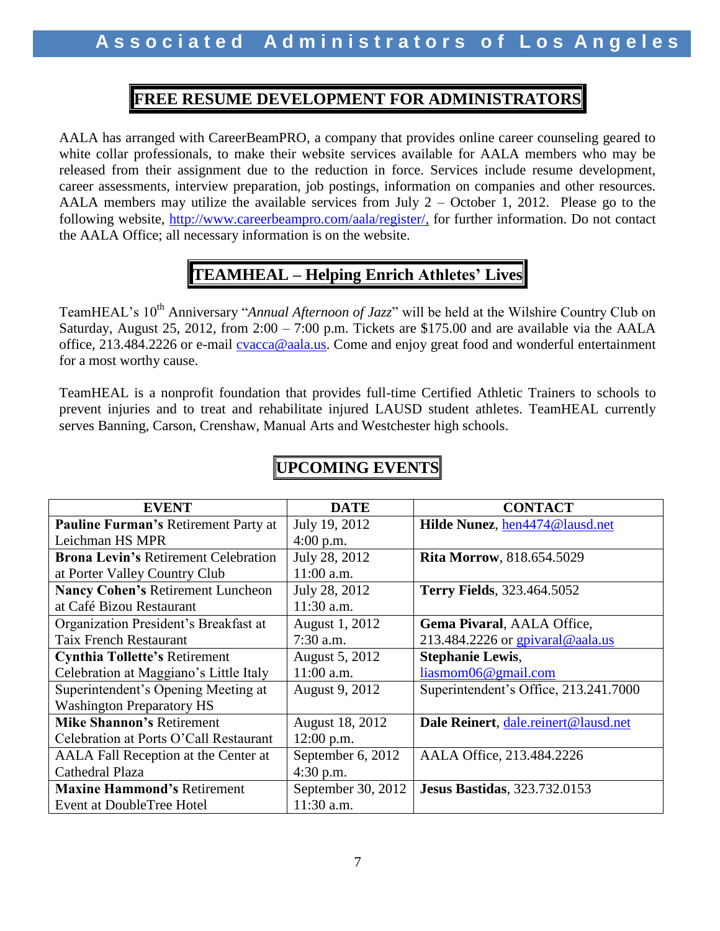### **FREE RESUME DEVELOPMENT FOR ADMINISTRATORS**

AALA has arranged with CareerBeamPRO, a company that provides online career counseling geared to white collar professionals, to make their website services available for AALA members who may be released from their assignment due to the reduction in force. Services include resume development, career assessments, interview preparation, job postings, information on companies and other resources. AALA members may utilize the available services from July 2 – October 1, 2012. Please go to the following website, [http://www.careerbeampro.com/aala/register/,](http://www.careerbeampro.com/aala/register/) for further information. Do not contact the AALA Office; all necessary information is on the website.

## **TEAMHEAL – Helping Enrich Athletes' Lives**

TeamHEAL's 10<sup>th</sup> Anniversary "*Annual Afternoon of Jazz*" will be held at the Wilshire Country Club on Saturday, August 25, 2012, from 2:00 – 7:00 p.m. Tickets are \$175.00 and are available via the AALA office, 213.484.2226 or e-mail [cvacca@aala.us.](mailto:cvacca@aala.us) Come and enjoy great food and wonderful entertainment for a most worthy cause.

TeamHEAL is a nonprofit foundation that provides full-time Certified Athletic Trainers to schools to prevent injuries and to treat and rehabilitate injured LAUSD student athletes. TeamHEAL currently serves Banning, Carson, Crenshaw, Manual Arts and Westchester high schools.

| <b>EVENT</b>                                | <b>DATE</b>        | <b>CONTACT</b>                        |
|---------------------------------------------|--------------------|---------------------------------------|
| Pauline Furman's Retirement Party at        | July 19, 2012      | Hilde Nunez, hen4474@lausd.net        |
| Leichman HS MPR                             | $4:00$ p.m.        |                                       |
| <b>Brona Levin's Retirement Celebration</b> | July 28, 2012      | <b>Rita Morrow, 818.654.5029</b>      |
| at Porter Valley Country Club               | 11:00 a.m.         |                                       |
| <b>Nancy Cohen's Retirement Luncheon</b>    | July 28, 2012      | <b>Terry Fields</b> , 323.464.5052    |
| at Café Bizou Restaurant                    | 11:30 a.m.         |                                       |
| Organization President's Breakfast at       | August 1, 2012     | Gema Pivaral, AALA Office,            |
| <b>Taix French Restaurant</b>               | $7:30$ a.m.        | 213.484.2226 or gpivaral@aala.us      |
| <b>Cynthia Tollette's Retirement</b>        | August 5, 2012     | <b>Stephanie Lewis,</b>               |
| Celebration at Maggiano's Little Italy      | 11:00 a.m.         | liasmom06@gmail.com                   |
| Superintendent's Opening Meeting at         | August 9, 2012     | Superintendent's Office, 213.241.7000 |
| <b>Washington Preparatory HS</b>            |                    |                                       |
| <b>Mike Shannon's Retirement</b>            | August 18, 2012    | Dale Reinert, dale.reinert@lausd.net  |
| Celebration at Ports O'Call Restaurant      | $12:00$ p.m.       |                                       |
| AALA Fall Reception at the Center at        | September 6, 2012  | AALA Office, 213.484.2226             |
| Cathedral Plaza                             | 4:30 p.m.          |                                       |
| <b>Maxine Hammond's Retirement</b>          | September 30, 2012 | <b>Jesus Bastidas</b> , 323.732.0153  |
| Event at DoubleTree Hotel                   | 11:30 a.m.         |                                       |

# **UPCOMING EVENTS**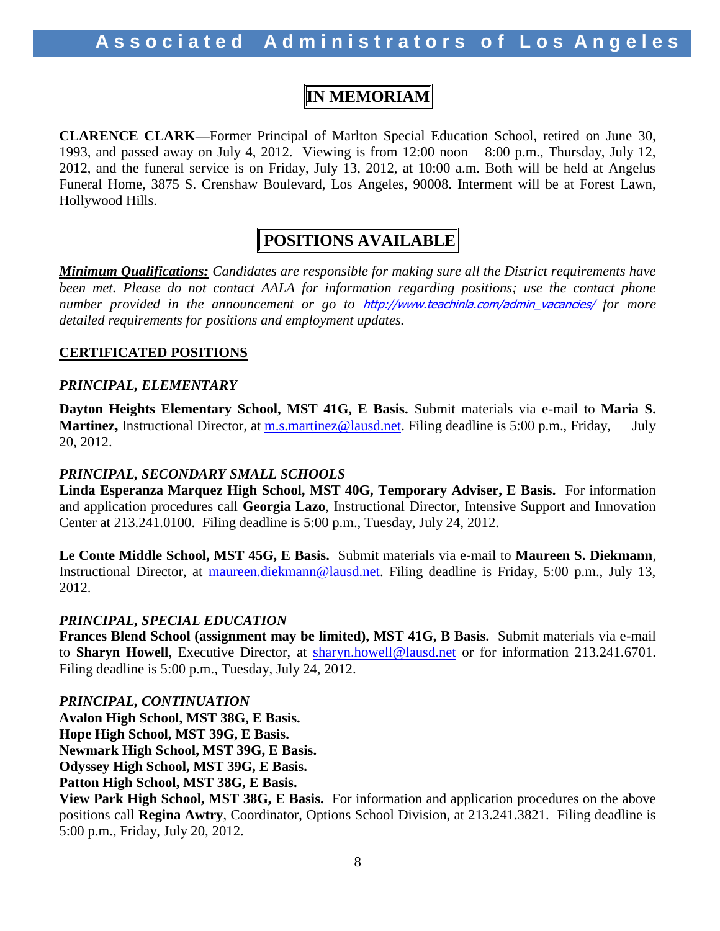### **IN MEMORIAM**

**CLARENCE CLARK—**Former Principal of Marlton Special Education School, retired on June 30, 1993, and passed away on July 4, 2012. Viewing is from 12:00 noon – 8:00 p.m., Thursday, July 12, 2012, and the funeral service is on Friday, July 13, 2012, at 10:00 a.m. Both will be held at Angelus Funeral Home, 3875 S. Crenshaw Boulevard, Los Angeles, 90008. Interment will be at Forest Lawn, Hollywood Hills.

### **POSITIONS AVAILABLE**

*Minimum Qualifications: Candidates are responsible for making sure all the District requirements have*  been met. Please do not contact AALA for information regarding positions; use the contact phone *number provided in the announcement or go to* [http://www.teachinla.com/admin\\_vacancies/](http://www.teachinla.com/admin_vacancies/) *for more detailed requirements for positions and employment updates.*

### **CERTIFICATED POSITIONS**

### *PRINCIPAL, ELEMENTARY*

**Dayton Heights Elementary School, MST 41G, E Basis.** Submit materials via e-mail to **Maria S. Martinez,** Instructional Director, at [m.s.martinez@lausd.net.](mailto:m.s.martinez@lausd.net) Filing deadline is 5:00 p.m., Friday, July 20, 2012.

### *PRINCIPAL, SECONDARY SMALL SCHOOLS*

**Linda Esperanza Marquez High School, MST 40G, Temporary Adviser, E Basis.** For information and application procedures call **Georgia Lazo**, Instructional Director, Intensive Support and Innovation Center at 213.241.0100. Filing deadline is 5:00 p.m., Tuesday, July 24, 2012.

**Le Conte Middle School, MST 45G, E Basis.** Submit materials via e-mail to **Maureen S. Diekmann**, Instructional Director, at [maureen.diekmann@lausd.net.](mailto:maureen.diekmann@lausd.net) Filing deadline is Friday, 5:00 p.m., July 13, 2012.

### *PRINCIPAL, SPECIAL EDUCATION*

**Frances Blend School (assignment may be limited), MST 41G, B Basis.** Submit materials via e-mail to Sharyn Howell, Executive Director, at [sharyn.howell@lausd.net](mailto:sharyn.howell@lausd.net) or for information 213.241.6701. Filing deadline is 5:00 p.m., Tuesday, July 24, 2012.

*PRINCIPAL, CONTINUATION*  **Avalon High School, MST 38G, E Basis. Hope High School, MST 39G, E Basis. Newmark High School, MST 39G, E Basis. Odyssey High School, MST 39G, E Basis. Patton High School, MST 38G, E Basis.**

**View Park High School, MST 38G, E Basis.** For information and application procedures on the above positions call **Regina Awtry**, Coordinator, Options School Division, at 213.241.3821. Filing deadline is 5:00 p.m., Friday, July 20, 2012.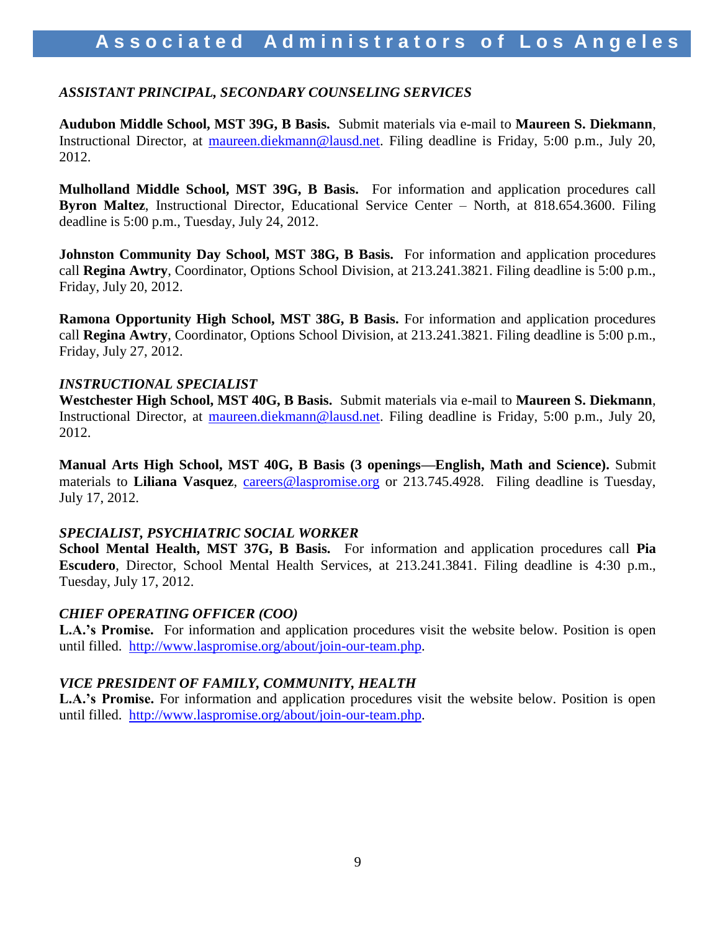### Associated Administrators of Los Angeles

### *ASSISTANT PRINCIPAL, SECONDARY COUNSELING SERVICES*

**Audubon Middle School, MST 39G, B Basis.** Submit materials via e-mail to **Maureen S. Diekmann**, Instructional Director, at [maureen.diekmann@lausd.net.](mailto:maureen.diekmann@lausd.net) Filing deadline is Friday, 5:00 p.m., July 20, 2012.

**Mulholland Middle School, MST 39G, B Basis.** For information and application procedures call **Byron Maltez**, Instructional Director, Educational Service Center – North, at 818.654.3600. Filing deadline is 5:00 p.m., Tuesday, July 24, 2012.

**Johnston Community Day School, MST 38G, B Basis.** For information and application procedures call **Regina Awtry**, Coordinator, Options School Division, at 213.241.3821. Filing deadline is 5:00 p.m., Friday, July 20, 2012.

**Ramona Opportunity High School, MST 38G, B Basis.** For information and application procedures call **Regina Awtry**, Coordinator, Options School Division, at 213.241.3821. Filing deadline is 5:00 p.m., Friday, July 27, 2012.

### *INSTRUCTIONAL SPECIALIST*

**Westchester High School, MST 40G, B Basis.** Submit materials via e-mail to **Maureen S. Diekmann**, Instructional Director, at [maureen.diekmann@lausd.net.](mailto:maureen.diekmann@lausd.net) Filing deadline is Friday, 5:00 p.m., July 20, 2012.

**Manual Arts High School, MST 40G, B Basis (3 openings—English, Math and Science).** Submit materials to Liliana Vasquez, [careers@laspromise.org](mailto:careers@laspromise.org) or 213.745.4928. Filing deadline is Tuesday, July 17, 2012.

### *SPECIALIST, PSYCHIATRIC SOCIAL WORKER*

**School Mental Health, MST 37G, B Basis.** For information and application procedures call **Pia Escudero**, Director, School Mental Health Services, at 213.241.3841. Filing deadline is 4:30 p.m., Tuesday, July 17, 2012.

### *CHIEF OPERATING OFFICER (COO)*

**L.A.'s Promise.** For information and application procedures visit the website below. Position is open until filled. [http://www.laspromise.org/about/join-our-team.php.](http://www.laspromise.org/about/join-our-team.php)

### *VICE PRESIDENT OF FAMILY, COMMUNITY, HEALTH*

**L.A.'s Promise.** For information and application procedures visit the website below. Position is open until filled. [http://www.laspromise.org/about/join-our-team.php.](http://www.laspromise.org/about/join-our-team.php)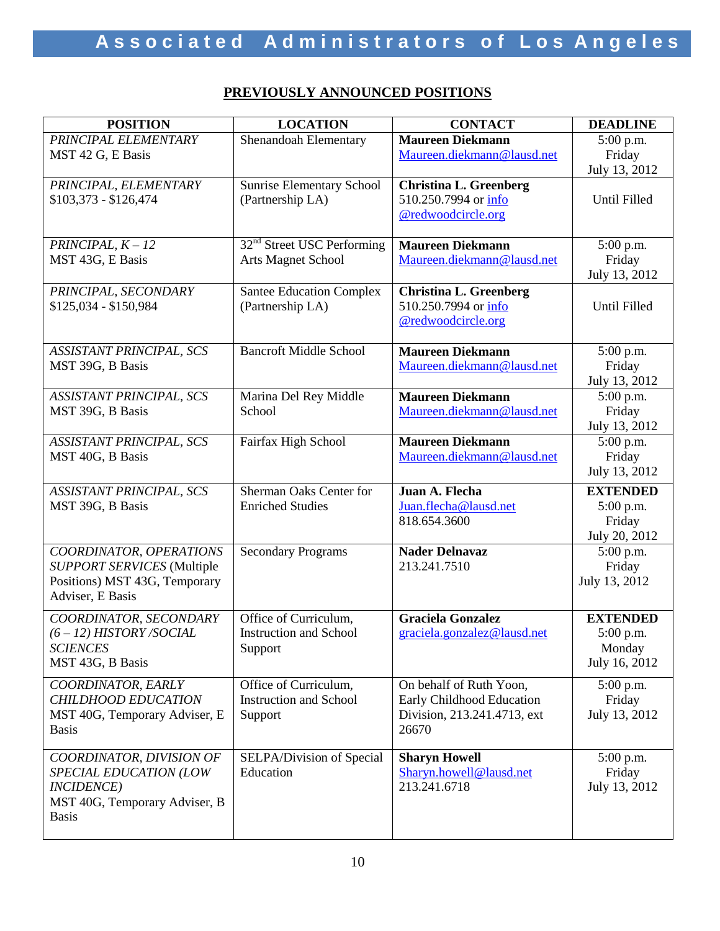### **PREVIOUSLY ANNOUNCED POSITIONS**

| <b>POSITION</b>                                                    | <b>LOCATION</b>                        | <b>CONTACT</b>                        | <b>DEADLINE</b>         |
|--------------------------------------------------------------------|----------------------------------------|---------------------------------------|-------------------------|
| PRINCIPAL ELEMENTARY                                               | Shenandoah Elementary                  | <b>Maureen Diekmann</b>               | $5:00$ p.m.             |
| MST 42 G, E Basis                                                  |                                        | Maureen.diekmann@lausd.net            | Friday                  |
|                                                                    |                                        |                                       | July 13, 2012           |
| PRINCIPAL, ELEMENTARY                                              | <b>Sunrise Elementary School</b>       | <b>Christina L. Greenberg</b>         |                         |
| $$103,373 - $126,474$                                              | (Partnership LA)                       | 510.250.7994 or info                  | Until Filled            |
|                                                                    |                                        | @redwoodcircle.org                    |                         |
| PRINCIPAL, $K - 12$                                                | 32 <sup>nd</sup> Street USC Performing | <b>Maureen Diekmann</b>               | 5:00 p.m.               |
| MST 43G, E Basis                                                   | <b>Arts Magnet School</b>              | Maureen.diekmann@lausd.net            | Friday                  |
|                                                                    |                                        |                                       | July 13, 2012           |
| PRINCIPAL, SECONDARY                                               | <b>Santee Education Complex</b>        | <b>Christina L. Greenberg</b>         |                         |
| $$125,034 - $150,984$                                              | (Partnership LA)                       | 510.250.7994 or info                  | Until Filled            |
|                                                                    |                                        | @redwoodcircle.org                    |                         |
| <b>ASSISTANT PRINCIPAL, SCS</b>                                    | <b>Bancroft Middle School</b>          | <b>Maureen Diekmann</b>               | 5:00 p.m.               |
| MST 39G, B Basis                                                   |                                        | Maureen.diekmann@lausd.net            | Friday                  |
|                                                                    |                                        |                                       | July 13, 2012           |
| ASSISTANT PRINCIPAL, SCS                                           | Marina Del Rey Middle                  | <b>Maureen Diekmann</b>               | 5:00 p.m.               |
| MST 39G, B Basis                                                   | School                                 | Maureen.diekmann@lausd.net            | Friday                  |
|                                                                    |                                        |                                       | July 13, 2012           |
| <b>ASSISTANT PRINCIPAL, SCS</b>                                    | Fairfax High School                    | <b>Maureen Diekmann</b>               | 5:00 p.m.               |
| MST 40G, B Basis                                                   |                                        | Maureen.diekmann@lausd.net            | Friday                  |
|                                                                    |                                        |                                       | July 13, 2012           |
| ASSISTANT PRINCIPAL, SCS                                           | Sherman Oaks Center for                | Juan A. Flecha                        | <b>EXTENDED</b>         |
| MST 39G, B Basis                                                   | <b>Enriched Studies</b>                | Juan.flecha@lausd.net                 | 5:00 p.m.               |
|                                                                    |                                        | 818.654.3600                          | Friday                  |
|                                                                    |                                        |                                       | July 20, 2012           |
| COORDINATOR, OPERATIONS                                            | <b>Secondary Programs</b>              | <b>Nader Delnavaz</b><br>213.241.7510 | 5:00 p.m.               |
| <b>SUPPORT SERVICES</b> (Multiple<br>Positions) MST 43G, Temporary |                                        |                                       | Friday<br>July 13, 2012 |
| Adviser, E Basis                                                   |                                        |                                       |                         |
| COORDINATOR, SECONDARY                                             | Office of Curriculum,                  | <b>Graciela Gonzalez</b>              | <b>EXTENDED</b>         |
| $(6 - 12)$ HISTORY/SOCIAL                                          | <b>Instruction and School</b>          | graciela.gonzalez@lausd.net           | $5:00$ p.m.             |
| <b>SCIENCES</b>                                                    | Support                                |                                       | Monday                  |
| MST 43G, B Basis                                                   |                                        |                                       | July 16, 2012           |
| COORDINATOR, EARLY                                                 | Office of Curriculum,                  | On behalf of Ruth Yoon,               | $5:00$ p.m.             |
| <b>CHILDHOOD EDUCATION</b>                                         | <b>Instruction and School</b>          | Early Childhood Education             | Friday                  |
| MST 40G, Temporary Adviser, E                                      | Support                                | Division, 213.241.4713, ext           | July 13, 2012           |
| <b>Basis</b>                                                       |                                        | 26670                                 |                         |
| COORDINATOR, DIVISION OF                                           | SELPA/Division of Special              | <b>Sharyn Howell</b>                  | $5:00$ p.m.             |
| SPECIAL EDUCATION (LOW                                             | Education                              | Sharyn.howell@lausd.net               | Friday                  |
| <b>INCIDENCE</b> )                                                 |                                        | 213.241.6718                          | July 13, 2012           |
| MST 40G, Temporary Adviser, B                                      |                                        |                                       |                         |
| <b>Basis</b>                                                       |                                        |                                       |                         |
|                                                                    |                                        |                                       |                         |